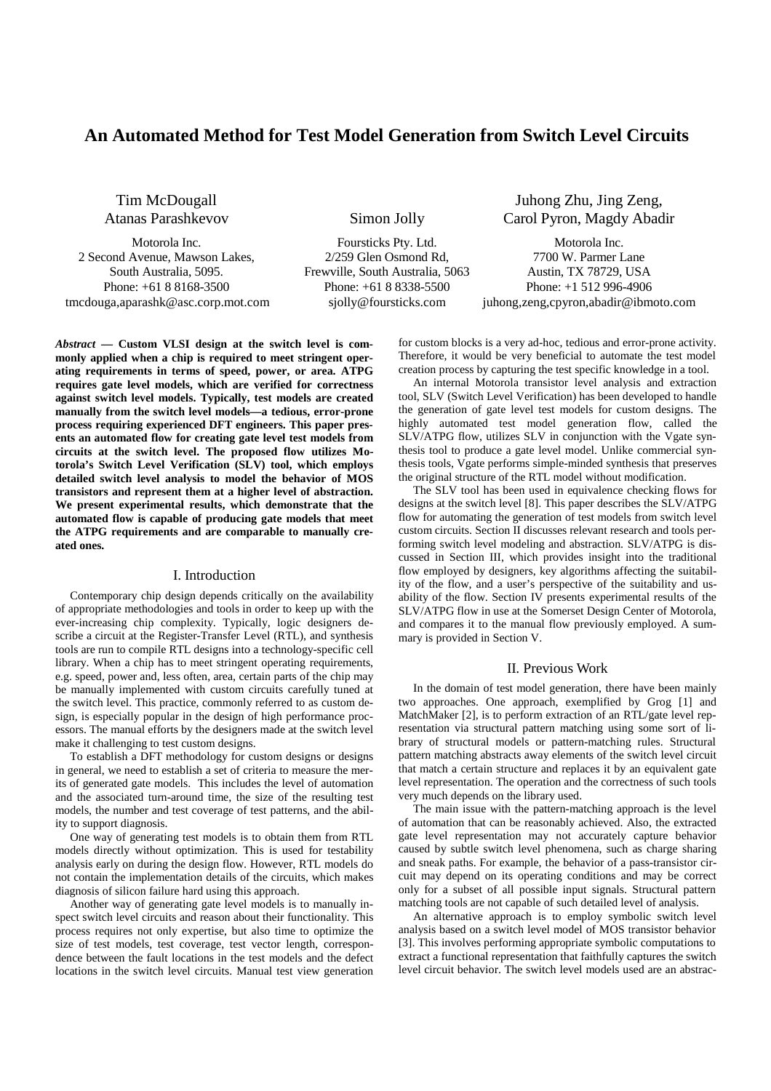# **An Automated Method for Test Model Generation from Switch Level Circuits**

2 Second Avenue, Mawson Lakes, 2/259 Glen Osmond Rd, 7700 W. Parmer Lane

Motorola Inc. Foursticks Pty. Ltd. Motorola Inc. South Australia, 5095. Frewville, South Australia, 5063 Austin, TX 78729, USA Phone: +61 8 8168-3500 Phone: +61 8 8338-5500 Phone: +1 512 996-4906

Tim McDougall **The Couplant Couplant Couplant Couplant Couplant Couplant Couplant Couplant Couplant Couplant Couplant Couplant Couplant Couplant Couplant Couplant Couplant Couplant Couplant Couplant Couplant Couplant Coupl** Atanas Parashkevov Simon Jolly Carol Pyron, Magdy Abadir

tmcdouga,aparashk@asc.corp.mot.com sjolly@foursticks.com juhong,zeng,cpyron,abadir@ibmoto.com

*Abstract* **— Custom VLSI design at the switch level is commonly applied when a chip is required to meet stringent operating requirements in terms of speed, power, or area. ATPG requires gate level models, which are verified for correctness against switch level models. Typically, test models are created manually from the switch level models—a tedious, error-prone process requiring experienced DFT engineers. This paper presents an automated flow for creating gate level test models from circuits at the switch level. The proposed flow utilizes Motorola's Switch Level Verification (SLV) tool, which employs detailed switch level analysis to model the behavior of MOS transistors and represent them at a higher level of abstraction. We present experimental results, which demonstrate that the automated flow is capable of producing gate models that meet the ATPG requirements and are comparable to manually created ones.**

# I. Introduction

Contemporary chip design depends critically on the availability of appropriate methodologies and tools in order to keep up with the ever-increasing chip complexity. Typically, logic designers describe a circuit at the Register-Transfer Level (RTL), and synthesis tools are run to compile RTL designs into a technology-specific cell library. When a chip has to meet stringent operating requirements, e.g. speed, power and, less often, area, certain parts of the chip may be manually implemented with custom circuits carefully tuned at the switch level. This practice, commonly referred to as custom design, is especially popular in the design of high performance processors. The manual efforts by the designers made at the switch level make it challenging to test custom designs.

To establish a DFT methodology for custom designs or designs in general, we need to establish a set of criteria to measure the merits of generated gate models. This includes the level of automation and the associated turn-around time, the size of the resulting test models, the number and test coverage of test patterns, and the ability to support diagnosis.

One way of generating test models is to obtain them from RTL models directly without optimization. This is used for testability analysis early on during the design flow. However, RTL models do not contain the implementation details of the circuits, which makes diagnosis of silicon failure hard using this approach.

Another way of generating gate level models is to manually inspect switch level circuits and reason about their functionality. This process requires not only expertise, but also time to optimize the size of test models, test coverage, test vector length, correspondence between the fault locations in the test models and the defect locations in the switch level circuits. Manual test view generation for custom blocks is a very ad-hoc, tedious and error-prone activity. Therefore, it would be very beneficial to automate the test model creation process by capturing the test specific knowledge in a tool.

An internal Motorola transistor level analysis and extraction tool, SLV (Switch Level Verification) has been developed to handle the generation of gate level test models for custom designs. The highly automated test model generation flow, called the SLV/ATPG flow, utilizes SLV in conjunction with the Vgate synthesis tool to produce a gate level model. Unlike commercial synthesis tools, Vgate performs simple-minded synthesis that preserves the original structure of the RTL model without modification.

The SLV tool has been used in equivalence checking flows for designs at the switch level [8]. This paper describes the SLV/ATPG flow for automating the generation of test models from switch level custom circuits. Section II discusses relevant research and tools performing switch level modeling and abstraction. SLV/ATPG is discussed in Section III, which provides insight into the traditional flow employed by designers, key algorithms affecting the suitability of the flow, and a user's perspective of the suitability and usability of the flow. Section IV presents experimental results of the SLV/ATPG flow in use at the Somerset Design Center of Motorola, and compares it to the manual flow previously employed. A summary is provided in Section V.

### II. Previous Work

In the domain of test model generation, there have been mainly two approaches. One approach, exemplified by Grog [1] and MatchMaker [2], is to perform extraction of an RTL/gate level representation via structural pattern matching using some sort of library of structural models or pattern-matching rules. Structural pattern matching abstracts away elements of the switch level circuit that match a certain structure and replaces it by an equivalent gate level representation. The operation and the correctness of such tools very much depends on the library used.

The main issue with the pattern-matching approach is the level of automation that can be reasonably achieved. Also, the extracted gate level representation may not accurately capture behavior caused by subtle switch level phenomena, such as charge sharing and sneak paths. For example, the behavior of a pass-transistor circuit may depend on its operating conditions and may be correct only for a subset of all possible input signals. Structural pattern matching tools are not capable of such detailed level of analysis.

An alternative approach is to employ symbolic switch level analysis based on a switch level model of MOS transistor behavior [3]. This involves performing appropriate symbolic computations to extract a functional representation that faithfully captures the switch level circuit behavior. The switch level models used are an abstrac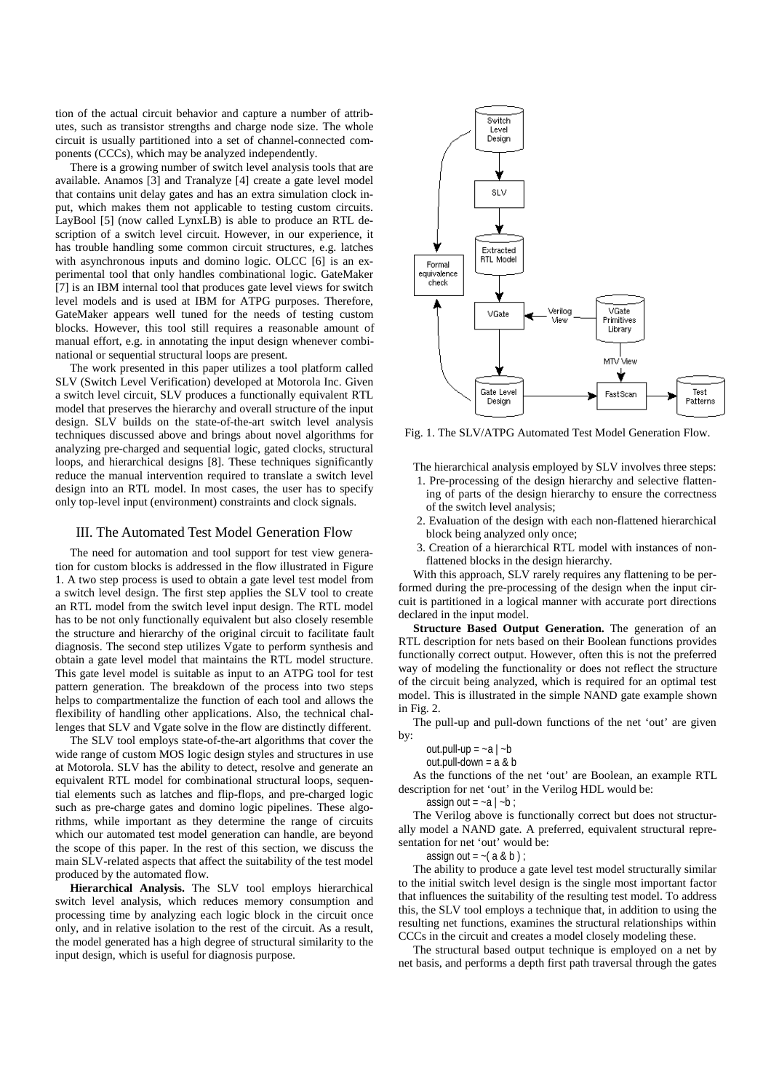tion of the actual circuit behavior and capture a number of attributes, such as transistor strengths and charge node size. The whole circuit is usually partitioned into a set of channel-connected components (CCCs), which may be analyzed independently.

There is a growing number of switch level analysis tools that are available. Anamos [3] and Tranalyze [4] create a gate level model that contains unit delay gates and has an extra simulation clock input, which makes them not applicable to testing custom circuits. LayBool [5] (now called LynxLB) is able to produce an RTL description of a switch level circuit. However, in our experience, it has trouble handling some common circuit structures, e.g. latches with asynchronous inputs and domino logic. OLCC [6] is an experimental tool that only handles combinational logic. GateMaker [7] is an IBM internal tool that produces gate level views for switch level models and is used at IBM for ATPG purposes. Therefore, GateMaker appears well tuned for the needs of testing custom blocks. However, this tool still requires a reasonable amount of manual effort, e.g. in annotating the input design whenever combinational or sequential structural loops are present.

The work presented in this paper utilizes a tool platform called SLV (Switch Level Verification) developed at Motorola Inc. Given a switch level circuit, SLV produces a functionally equivalent RTL model that preserves the hierarchy and overall structure of the input design. SLV builds on the state-of-the-art switch level analysis techniques discussed above and brings about novel algorithms for analyzing pre-charged and sequential logic, gated clocks, structural loops, and hierarchical designs [8]. These techniques significantly reduce the manual intervention required to translate a switch level design into an RTL model. In most cases, the user has to specify only top-level input (environment) constraints and clock signals.

#### III. The Automated Test Model Generation Flow

The need for automation and tool support for test view generation for custom blocks is addressed in the flow illustrated in Figure 1. A two step process is used to obtain a gate level test model from a switch level design. The first step applies the SLV tool to create an RTL model from the switch level input design. The RTL model has to be not only functionally equivalent but also closely resemble the structure and hierarchy of the original circuit to facilitate fault diagnosis. The second step utilizes Vgate to perform synthesis and obtain a gate level model that maintains the RTL model structure. This gate level model is suitable as input to an ATPG tool for test pattern generation. The breakdown of the process into two steps helps to compartmentalize the function of each tool and allows the flexibility of handling other applications. Also, the technical challenges that SLV and Vgate solve in the flow are distinctly different.

The SLV tool employs state-of-the-art algorithms that cover the wide range of custom MOS logic design styles and structures in use at Motorola. SLV has the ability to detect, resolve and generate an equivalent RTL model for combinational structural loops, sequential elements such as latches and flip-flops, and pre-charged logic such as pre-charge gates and domino logic pipelines. These algorithms, while important as they determine the range of circuits which our automated test model generation can handle, are beyond the scope of this paper. In the rest of this section, we discuss the main SLV-related aspects that affect the suitability of the test model produced by the automated flow.

**Hierarchical Analysis.** The SLV tool employs hierarchical switch level analysis, which reduces memory consumption and processing time by analyzing each logic block in the circuit once only, and in relative isolation to the rest of the circuit. As a result, the model generated has a high degree of structural similarity to the input design, which is useful for diagnosis purpose.



Fig. 1. The SLV/ATPG Automated Test Model Generation Flow.

The hierarchical analysis employed by SLV involves three steps:

- 1. Pre-processing of the design hierarchy and selective flattening of parts of the design hierarchy to ensure the correctness of the switch level analysis;
- 2. Evaluation of the design with each non-flattened hierarchical block being analyzed only once;
- 3. Creation of a hierarchical RTL model with instances of nonflattened blocks in the design hierarchy.

With this approach, SLV rarely requires any flattening to be performed during the pre-processing of the design when the input circuit is partitioned in a logical manner with accurate port directions declared in the input model.

**Structure Based Output Generation.** The generation of an RTL description for nets based on their Boolean functions provides functionally correct output. However, often this is not the preferred way of modeling the functionality or does not reflect the structure of the circuit being analyzed, which is required for an optimal test model. This is illustrated in the simple NAND gate example shown in Fig. 2.

The pull-up and pull-down functions of the net 'out' are given by:

out.pull-up =  $-a$  |  $-b$ 

out.pull-down = a & b

As the functions of the net 'out' are Boolean, an example RTL description for net 'out' in the Verilog HDL would be:

assign out =  $-a$  |  $-b$  ;

The Verilog above is functionally correct but does not structurally model a NAND gate. A preferred, equivalent structural representation for net 'out' would be:

assign out =  $-(a & b)$ ;

The ability to produce a gate level test model structurally similar to the initial switch level design is the single most important factor that influences the suitability of the resulting test model. To address this, the SLV tool employs a technique that, in addition to using the resulting net functions, examines the structural relationships within CCCs in the circuit and creates a model closely modeling these.

The structural based output technique is employed on a net by net basis, and performs a depth first path traversal through the gates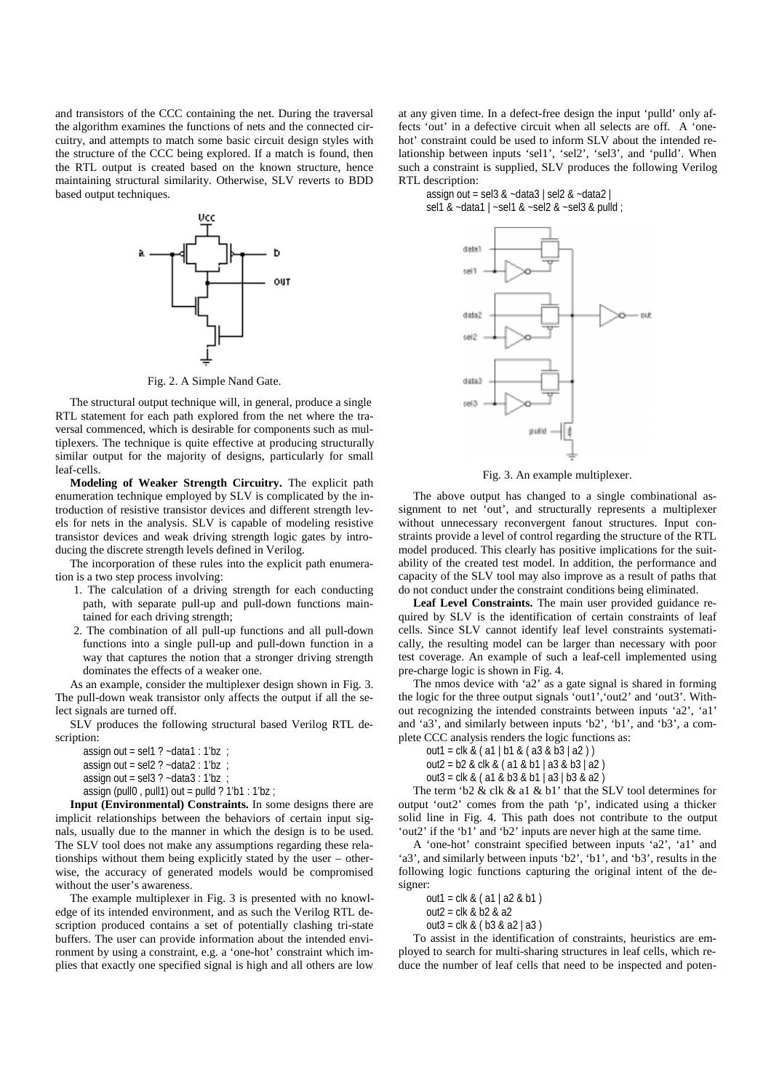and transistors of the CCC containing the net. During the traversal the algorithm examines the functions of nets and the connected circuitry, and attempts to match some basic circuit design styles with the structure of the CCC being explored. If a match is found, then the RTL output is created based on the known structure, hence maintaining structural similarity. Otherwise, SLV reverts to BDD based output techniques.



Fig. 2. A Simple Nand Gate.

The structural output technique will, in general, produce a single RTL statement for each path explored from the net where the traversal commenced, which is desirable for components such as multiplexers. The technique is quite effective at producing structurally similar output for the majority of designs, particularly for small leaf-cells.

**Modeling of Weaker Strength Circuitry.** The explicit path enumeration technique employed by SLV is complicated by the introduction of resistive transistor devices and different strength levels for nets in the analysis. SLV is capable of modeling resistive transistor devices and weak driving strength logic gates by introducing the discrete strength levels defined in Verilog.

The incorporation of these rules into the explicit path enumeration is a two step process involving:

- 1. The calculation of a driving strength for each conducting path, with separate pull-up and pull-down functions maintained for each driving strength;
- 2. The combination of all pull-up functions and all pull-down functions into a single pull-up and pull-down function in a way that captures the notion that a stronger driving strength dominates the effects of a weaker one.

As an example, consider the multiplexer design shown in Fig. 3. The pull-down weak transistor only affects the output if all the select signals are turned off.

SLV produces the following structural based Verilog RTL description:

assign out = sel1 ?  $\sim$  data1 : 1'bz ; assign out = sel2  $?$  ~data2 : 1'bz : assign out =  $\text{sel3}$  ? ~data3 : 1'bz assign (pull0, pull1) out = pulld  $? 1'b1 : 1'b2$ ;

**Input (Environmental) Constraints.** In some designs there are implicit relationships between the behaviors of certain input signals, usually due to the manner in which the design is to be used. The SLV tool does not make any assumptions regarding these relationships without them being explicitly stated by the user – otherwise, the accuracy of generated models would be compromised without the user's awareness.

The example multiplexer in Fig. 3 is presented with no knowledge of its intended environment, and as such the Verilog RTL description produced contains a set of potentially clashing tri-state buffers. The user can provide information about the intended environment by using a constraint, e.g. a 'one-hot' constraint which implies that exactly one specified signal is high and all others are low

at any given time. In a defect-free design the input 'pulld' only affects 'out' in a defective circuit when all selects are off. A 'onehot' constraint could be used to inform SLV about the intended relationship between inputs 'sel1', 'sel2', 'sel3', and 'pulld'. When such a constraint is supplied, SLV produces the following Verilog RTL description:

assign out = sel3 &  $\sim$ data3 | sel2 &  $\sim$ data2 | sel1 & ~data1 | ~sel1 & ~sel2 & ~sel3 & pulld ;



Fig. 3. An example multiplexer.

The above output has changed to a single combinational assignment to net 'out', and structurally represents a multiplexer without unnecessary reconvergent fanout structures. Input constraints provide a level of control regarding the structure of the RTL model produced. This clearly has positive implications for the suitability of the created test model. In addition, the performance and capacity of the SLV tool may also improve as a result of paths that do not conduct under the constraint conditions being eliminated.

**Leaf Level Constraints.** The main user provided guidance required by SLV is the identification of certain constraints of leaf cells. Since SLV cannot identify leaf level constraints systematically, the resulting model can be larger than necessary with poor test coverage. An example of such a leaf-cell implemented using pre-charge logic is shown in Fig. 4.

The nmos device with 'a2' as a gate signal is shared in forming the logic for the three output signals 'out1', 'out2' and 'out3'. Without recognizing the intended constraints between inputs 'a2', 'a1' and 'a3', and similarly between inputs 'b2', 'b1', and 'b3', a complete CCC analysis renders the logic functions as:

 $out1 = clk 8 (a1 | b1 8 (a3 8 b3 | a2))$ 

out2 = b2 & clk & ( a1 & b1 | a3 & b3 | a2 )

out3 = clk & ( a1 & b3 & b1 | a3 | b3 & a2 )

The term 'b2 & clk & a1 & b1' that the SLV tool determines for output 'out2' comes from the path 'p', indicated using a thicker solid line in Fig. 4. This path does not contribute to the output 'out2' if the 'b1' and 'b2' inputs are never high at the same time.

A 'one-hot' constraint specified between inputs 'a2', 'a1' and 'a3', and similarly between inputs 'b2', 'b1', and 'b3', results in the following logic functions capturing the original intent of the designer:

out1 = clk & ( a1 | a2 & b1 ) out2 = clk & b2 & a2

 $out3 = clk 8 (b3 8 a2 | a3)$ 

To assist in the identification of constraints, heuristics are employed to search for multi-sharing structures in leaf cells, which reduce the number of leaf cells that need to be inspected and poten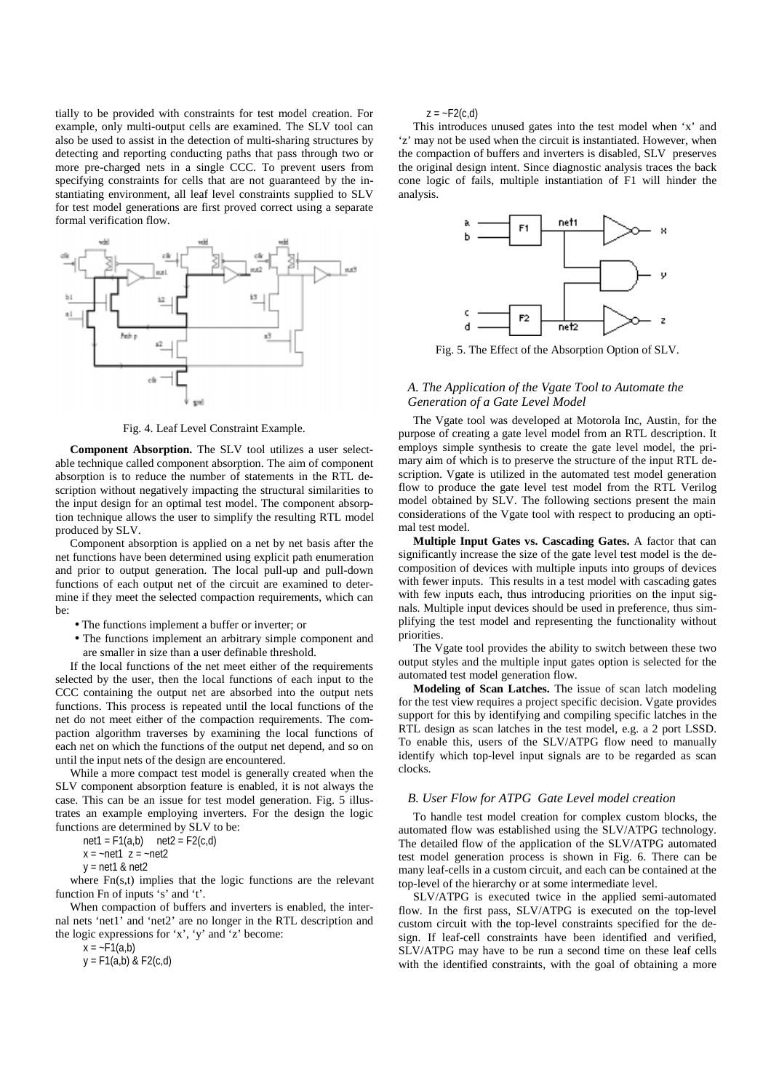tially to be provided with constraints for test model creation. For example, only multi-output cells are examined. The SLV tool can also be used to assist in the detection of multi-sharing structures by detecting and reporting conducting paths that pass through two or more pre-charged nets in a single CCC. To prevent users from specifying constraints for cells that are not guaranteed by the instantiating environment, all leaf level constraints supplied to SLV for test model generations are first proved correct using a separate formal verification flow.



Fig. 4. Leaf Level Constraint Example.

**Component Absorption.** The SLV tool utilizes a user selectable technique called component absorption. The aim of component absorption is to reduce the number of statements in the RTL description without negatively impacting the structural similarities to the input design for an optimal test model. The component absorption technique allows the user to simplify the resulting RTL model produced by SLV.

Component absorption is applied on a net by net basis after the net functions have been determined using explicit path enumeration and prior to output generation. The local pull-up and pull-down functions of each output net of the circuit are examined to determine if they meet the selected compaction requirements, which can be:

- The functions implement a buffer or inverter; or
- The functions implement an arbitrary simple component and are smaller in size than a user definable threshold.

If the local functions of the net meet either of the requirements selected by the user, then the local functions of each input to the CCC containing the output net are absorbed into the output nets functions. This process is repeated until the local functions of the net do not meet either of the compaction requirements. The compaction algorithm traverses by examining the local functions of each net on which the functions of the output net depend, and so on until the input nets of the design are encountered.

While a more compact test model is generally created when the SLV component absorption feature is enabled, it is not always the case. This can be an issue for test model generation. Fig. 5 illustrates an example employing inverters. For the design the logic functions are determined by SLV to be:

 $net1 = F1(a,b)$   $net2 = F2(c,d)$ 

 $x = -net1$   $z = -net2$ 

 $y = net1$  & net2

where  $Fn(s,t)$  implies that the logic functions are the relevant function Fn of inputs 's' and 't'.

When compaction of buffers and inverters is enabled, the internal nets 'net1' and 'net2' are no longer in the RTL description and the logic expressions for 'x', 'y' and 'z' become:

 $x = -F1(a,b)$ 

 $v = F1(a,b)$  &  $F2(c,d)$ 

 $z = -F(0, d)$ 

This introduces unused gates into the test model when 'x' and 'z' may not be used when the circuit is instantiated. However, when the compaction of buffers and inverters is disabled, SLV preserves the original design intent. Since diagnostic analysis traces the back cone logic of fails, multiple instantiation of F1 will hinder the analysis.



Fig. 5. The Effect of the Absorption Option of SLV.

# *A. The Application of the Vgate Tool to Automate the Generation of a Gate Level Model*

The Vgate tool was developed at Motorola Inc, Austin, for the purpose of creating a gate level model from an RTL description. It employs simple synthesis to create the gate level model, the primary aim of which is to preserve the structure of the input RTL description. Vgate is utilized in the automated test model generation flow to produce the gate level test model from the RTL Verilog model obtained by SLV. The following sections present the main considerations of the Vgate tool with respect to producing an optimal test model.

**Multiple Input Gates vs. Cascading Gates.** A factor that can significantly increase the size of the gate level test model is the decomposition of devices with multiple inputs into groups of devices with fewer inputs. This results in a test model with cascading gates with few inputs each, thus introducing priorities on the input signals. Multiple input devices should be used in preference, thus simplifying the test model and representing the functionality without priorities.

The Vgate tool provides the ability to switch between these two output styles and the multiple input gates option is selected for the automated test model generation flow.

**Modeling of Scan Latches.** The issue of scan latch modeling for the test view requires a project specific decision. Vgate provides support for this by identifying and compiling specific latches in the RTL design as scan latches in the test model, e.g. a 2 port LSSD. To enable this, users of the SLV/ATPG flow need to manually identify which top-level input signals are to be regarded as scan clocks.

## *B. User Flow for ATPG Gate Level model creation*

To handle test model creation for complex custom blocks, the automated flow was established using the SLV/ATPG technology. The detailed flow of the application of the SLV/ATPG automated test model generation process is shown in Fig. 6. There can be many leaf-cells in a custom circuit, and each can be contained at the top-level of the hierarchy or at some intermediate level.

SLV/ATPG is executed twice in the applied semi-automated flow. In the first pass, SLV/ATPG is executed on the top-level custom circuit with the top-level constraints specified for the design. If leaf-cell constraints have been identified and verified, SLV/ATPG may have to be run a second time on these leaf cells with the identified constraints, with the goal of obtaining a more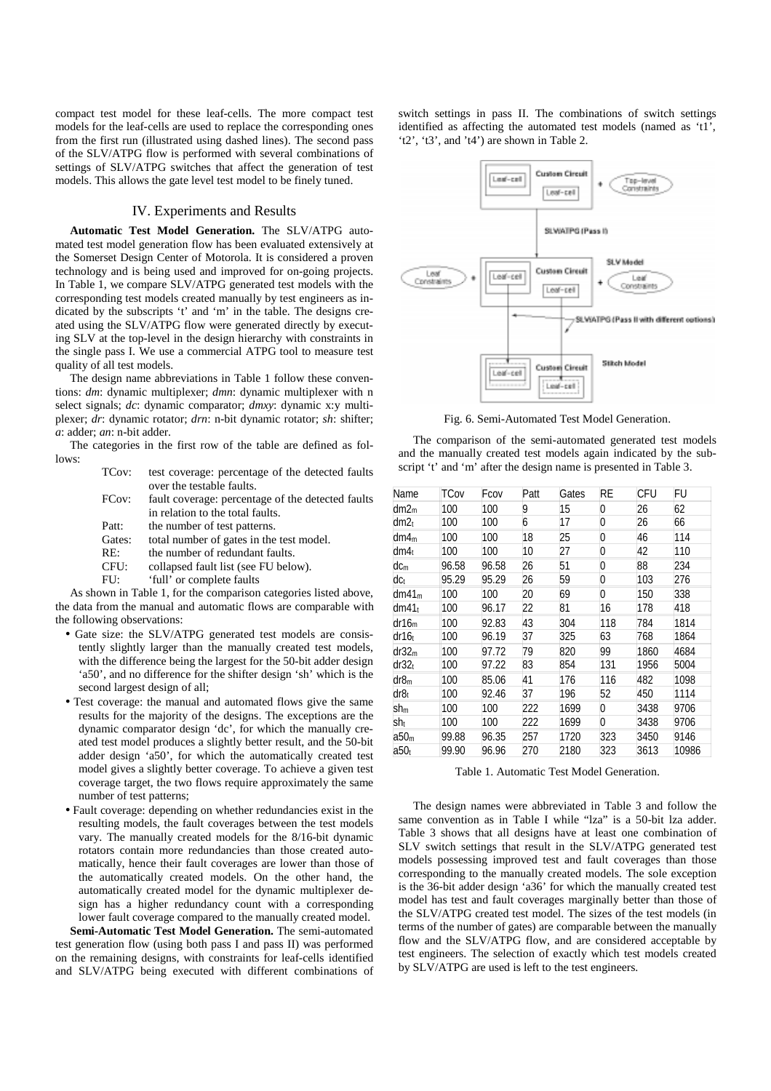compact test model for these leaf-cells. The more compact test models for the leaf-cells are used to replace the corresponding ones from the first run (illustrated using dashed lines). The second pass of the SLV/ATPG flow is performed with several combinations of settings of SLV/ATPG switches that affect the generation of test models. This allows the gate level test model to be finely tuned.

# IV. Experiments and Results

**Automatic Test Model Generation.** The SLV/ATPG automated test model generation flow has been evaluated extensively at the Somerset Design Center of Motorola. It is considered a proven technology and is being used and improved for on-going projects. In Table 1, we compare SLV/ATPG generated test models with the corresponding test models created manually by test engineers as indicated by the subscripts 't' and 'm' in the table. The designs created using the SLV/ATPG flow were generated directly by executing SLV at the top-level in the design hierarchy with constraints in the single pass I. We use a commercial ATPG tool to measure test quality of all test models.

The design name abbreviations in Table 1 follow these conventions: *dm*: dynamic multiplexer; *dmn*: dynamic multiplexer with n select signals; *dc*: dynamic comparator; *dmxy*: dynamic x:y multiplexer; *dr*: dynamic rotator; *drn*: n-bit dynamic rotator; *sh*: shifter; *a*: adder; *an*: n-bit adder.

The categories in the first row of the table are defined as follows:

| TCov:  | test coverage: percentage of the detected faults                                             |
|--------|----------------------------------------------------------------------------------------------|
|        | over the testable faults.                                                                    |
| FCov:  | fault coverage: percentage of the detected faults                                            |
|        | in relation to the total faults.                                                             |
| Patt:  | the number of test patterns.                                                                 |
| Gates: | total number of gates in the test model.                                                     |
| RE:    | the number of redundant faults.                                                              |
| CFU:   | collapsed fault list (see FU below).                                                         |
| FU:    | 'full' or complete faults                                                                    |
|        | $\overline{a}$ and $\overline{a}$ and $\overline{a}$ and $\overline{a}$<br>$\cdots$ $\cdots$ |

As shown in Table 1, for the comparison categories listed above, the data from the manual and automatic flows are comparable with the following observations:

- Gate size: the SLV/ATPG generated test models are consistently slightly larger than the manually created test models, with the difference being the largest for the 50-bit adder design 'a50', and no difference for the shifter design 'sh' which is the second largest design of all;
- Test coverage: the manual and automated flows give the same results for the majority of the designs. The exceptions are the dynamic comparator design 'dc', for which the manually created test model produces a slightly better result, and the 50-bit adder design 'a50', for which the automatically created test model gives a slightly better coverage. To achieve a given test coverage target, the two flows require approximately the same number of test patterns;
- Fault coverage: depending on whether redundancies exist in the resulting models, the fault coverages between the test models vary. The manually created models for the 8/16-bit dynamic rotators contain more redundancies than those created automatically, hence their fault coverages are lower than those of the automatically created models. On the other hand, the automatically created model for the dynamic multiplexer design has a higher redundancy count with a corresponding lower fault coverage compared to the manually created model.

**Semi-Automatic Test Model Generation.** The semi-automated test generation flow (using both pass I and pass II) was performed on the remaining designs, with constraints for leaf-cells identified and SLV/ATPG being executed with different combinations of switch settings in pass II. The combinations of switch settings identified as affecting the automated test models (named as 't1', 't2', 't3', and 't4') are shown in Table 2.



Fig. 6. Semi-Automated Test Model Generation.

The comparison of the semi-automated generated test models and the manually created test models again indicated by the subscript 't' and 'm' after the design name is presented in Table 3.

| Name                       | TCov  | Fcov  | Patt | Gates | RE  | CFU  | FU    |
|----------------------------|-------|-------|------|-------|-----|------|-------|
| dm2 <sub>m</sub>           | 100   | 100   | 9    | 15    | n   | 26   | 62    |
| dm2 <sub>t</sub>           | 100   | 100   | 6    | 17    | 10  | 26   | 66    |
| dm4 <sub>m</sub>           | 100   | 100   | 18   | 25    | 0   | 46   | 114   |
| dm4 <sub>t</sub>           | 100   | 100   | 10   | 27    | 10  | 42   | 110   |
| $ dc_m$                    | 96.58 | 96.58 | 26   | 51    | 10  | 88   | 234   |
| $dc_t$                     | 95.29 | 95.29 | 26   | 59    | 0   | 103  | 276   |
| dm41 <sub>m</sub>          | 100   | 100   | 20   | 69    | O   | 150  | 338   |
| $dm41_t$                   | 100   | 96.17 | 22   | 81    | 16  | 178  | 418   |
| dr16 <sub>m</sub>          | 100   | 92.83 | 43   | 304   | 118 | 784  | 1814  |
| dr16 <sub>t</sub>          | 100   | 96.19 | 37   | 325   | 63  | 768  | 1864  |
| dr32 <sub>m</sub>          | 100   | 97.72 | 79   | 820   | 99  | 1860 | 4684  |
| $dr32_t$                   | 100   | 97.22 | 83   | 854   | 131 | 1956 | 5004  |
| dr8 <sub>m</sub>           | 100   | 85.06 | 41   | 176   | 116 | 482  | 1098  |
| dr8 <sub>t</sub>           | 100   | 92.46 | 37   | 196   | 52  | 450  | 1114  |
| shm                        | 100   | 100   | 222  | 1699  | 0   | 3438 | 9706  |
| $\mathsf{sh}_{\mathsf{t}}$ | 100   | 100   | 222  | 1699  | 0   | 3438 | 9706  |
| a50 <sub>m</sub>           | 99.88 | 96.35 | 257  | 1720  | 323 | 3450 | 9146  |
| a50 <sub>t</sub>           | 99.90 | 96.96 | 270  | 2180  | 323 | 3613 | 10986 |

Table 1. Automatic Test Model Generation.

The design names were abbreviated in Table 3 and follow the same convention as in Table I while "lza" is a 50-bit lza adder. Table 3 shows that all designs have at least one combination of SLV switch settings that result in the SLV/ATPG generated test models possessing improved test and fault coverages than those corresponding to the manually created models. The sole exception is the 36-bit adder design 'a36' for which the manually created test model has test and fault coverages marginally better than those of the SLV/ATPG created test model. The sizes of the test models (in terms of the number of gates) are comparable between the manually flow and the SLV/ATPG flow, and are considered acceptable by test engineers. The selection of exactly which test models created by SLV/ATPG are used is left to the test engineers.